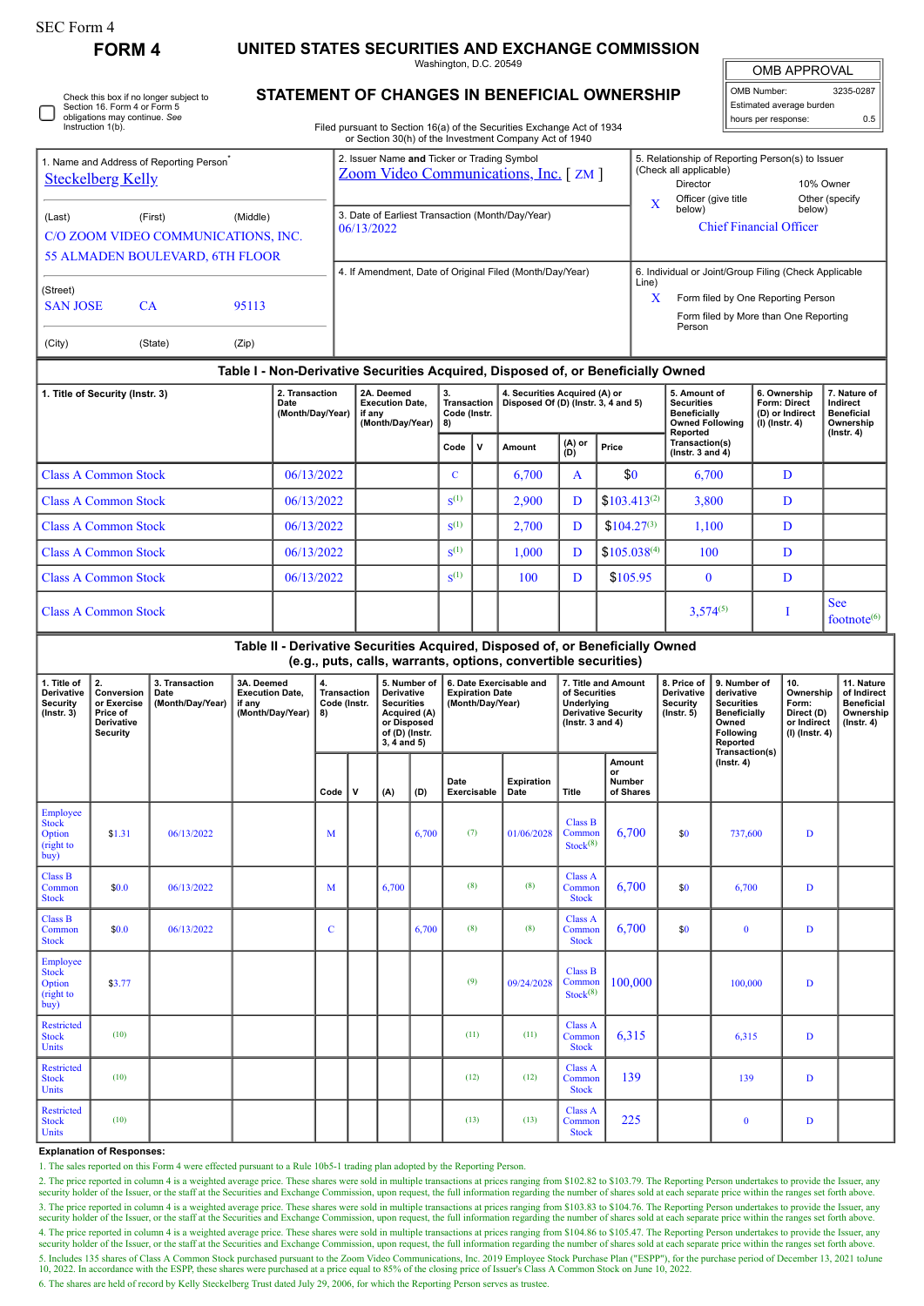| SEC Form 4 |  |
|------------|--|
|------------|--|

## **FORM 4 UNITED STATES SECURITIES AND EXCHANGE COMMISSION**

Washington, D.C. 20549 **STATEMENT OF CHANGES IN BENEFICIAL OWNERSHIP**

| <b>OMB APPROVAL</b> |         |  |  |  |  |  |  |  |
|---------------------|---------|--|--|--|--|--|--|--|
| OMB Number:         | 3235-02 |  |  |  |  |  |  |  |

| OMB Number:              | 3235-0287 |  |  |  |  |  |  |  |
|--------------------------|-----------|--|--|--|--|--|--|--|
| Estimated average burden |           |  |  |  |  |  |  |  |
| hours per response:      | 0.5       |  |  |  |  |  |  |  |

See  $footnote<sup>(6)</sup>$ 

| Filed pursuant to Section 16(a) of the Securities Exchange Act of 1934 |
|------------------------------------------------------------------------|
|                                                                        |
|                                                                        |

| Instruction 1(b).                                                             | Check this box if no longer subject to<br>Section 16. Form 4 or Form 5<br>obligations may continue. See |            |                                                                                      | STATEMENT OF CHANGES IN BENEFICIAL OWNERSHIP<br>Filed pursuant to Section 16(a) of the Securities Exchange Act of 1934<br>or Section 30(h) of the Investment Company Act of 1940 |           |                                    |                                                                      |                                                           |                                                                                 |                                                                                                                                                     | Estimated average burden<br>hours per response:                     | 0.5                                                                            |
|-------------------------------------------------------------------------------|---------------------------------------------------------------------------------------------------------|------------|--------------------------------------------------------------------------------------|----------------------------------------------------------------------------------------------------------------------------------------------------------------------------------|-----------|------------------------------------|----------------------------------------------------------------------|-----------------------------------------------------------|---------------------------------------------------------------------------------|-----------------------------------------------------------------------------------------------------------------------------------------------------|---------------------------------------------------------------------|--------------------------------------------------------------------------------|
| <b>Steckelberg Kelly</b>                                                      | 1. Name and Address of Reporting Person                                                                 |            | 2. Issuer Name and Ticker or Trading Symbol<br>Zoom Video Communications, Inc. [ZM ] |                                                                                                                                                                                  |           |                                    | $\mathbf{x}$                                                         | (Check all applicable)<br>Director<br>Officer (give title | 5. Relationship of Reporting Person(s) to Issuer<br>10% Owner<br>Other (specify |                                                                                                                                                     |                                                                     |                                                                                |
| (Last)                                                                        | (First)<br>C/O ZOOM VIDEO COMMUNICATIONS, INC.<br>55 ALMADEN BOULEVARD, 6TH FLOOR                       |            | 3. Date of Earliest Transaction (Month/Day/Year)<br>06/13/2022                       |                                                                                                                                                                                  |           |                                    |                                                                      | below)<br>below)<br><b>Chief Financial Officer</b>        |                                                                                 |                                                                                                                                                     |                                                                     |                                                                                |
| (Street)<br><b>SAN JOSE</b>                                                   | CA                                                                                                      | 95113      |                                                                                      | 4. If Amendment, Date of Original Filed (Month/Day/Year)                                                                                                                         |           |                                    |                                                                      |                                                           |                                                                                 | 6. Individual or Joint/Group Filing (Check Applicable<br>Form filed by One Reporting Person<br>X<br>Form filed by More than One Reporting<br>Person |                                                                     |                                                                                |
| (City)                                                                        | (State)                                                                                                 | (Zip)      |                                                                                      | Table I - Non-Derivative Securities Acquired, Disposed of, or Beneficially Owned                                                                                                 |           |                                    |                                                                      |                                                           |                                                                                 |                                                                                                                                                     |                                                                     |                                                                                |
| 2. Transaction<br>1. Title of Security (Instr. 3)<br>Date<br>(Month/Day/Year) |                                                                                                         |            |                                                                                      | 2A. Deemed<br><b>Execution Date.</b><br>if anv<br>(Month/Day/Year)<br>8)                                                                                                         |           | <b>Transaction</b><br>Code (Instr. | 4. Securities Acquired (A) or<br>Disposed Of (D) (Instr. 3, 4 and 5) |                                                           |                                                                                 | 5. Amount of<br><b>Securities</b><br><b>Beneficially</b><br><b>Owned Following</b><br>Reported                                                      | 6. Ownership<br>Form: Direct<br>(D) or Indirect<br>$(I)$ (lnstr. 4) | 7. Nature of<br>Indirect<br><b>Beneficial</b><br>Ownership<br>$($ Instr. 4 $)$ |
|                                                                               |                                                                                                         |            |                                                                                      |                                                                                                                                                                                  | Code      | $\mathbf v$                        | Amount                                                               | (A) or<br>(D)                                             | Price                                                                           | Transaction(s)<br>$($ lnstr. 3 and 4 $)$                                                                                                            |                                                                     |                                                                                |
| <b>Class A Common Stock</b>                                                   |                                                                                                         | 06/13/2022 |                                                                                      | C                                                                                                                                                                                |           | 6,700                              | A                                                                    | \$0                                                       | 6,700                                                                           | D                                                                                                                                                   |                                                                     |                                                                                |
| <b>Class A Common Stock</b>                                                   |                                                                                                         |            | 06/13/2022                                                                           |                                                                                                                                                                                  | $S^{(1)}$ |                                    | 2,900                                                                | D                                                         | $$103,413^{(2)}$                                                                | 3,800                                                                                                                                               | D                                                                   |                                                                                |
| <b>Class A Common Stock</b><br>06/13/2022                                     |                                                                                                         |            |                                                                                      |                                                                                                                                                                                  | $S^{(1)}$ |                                    | 2,700                                                                | D                                                         | $$104.27^{(3)}$                                                                 | 1,100                                                                                                                                               | D                                                                   |                                                                                |
| <b>Class A Common Stock</b>                                                   |                                                                                                         | 06/13/2022 |                                                                                      | $S^{(1)}$                                                                                                                                                                        |           | 1.000                              | D                                                                    | $$105.038^{(4)}$                                          | 100                                                                             | D                                                                                                                                                   |                                                                     |                                                                                |

| Class A Common Stock |  |  |  |  |  |  |  | $574^{(5)}$<br>. ب |  |
|----------------------|--|--|--|--|--|--|--|--------------------|--|
|----------------------|--|--|--|--|--|--|--|--------------------|--|

## **Table II - Derivative Securities Acquired, Disposed of, or Beneficially Owned (e.g., puts, calls, warrants, options, convertible securities)**

 $100 \quad D \quad$  \$105.95 0 D

| $(0.5)$ pato) cano, narranto, optiono, convertiste cooartico, |                                                                                     |                                            |                                                                    |                                         |             |                                                                                                                     |       |                     |                    |                                                                       |                                            |                                                                                                   |                  |                                                                         |                                                                                                                            |                                                                            |                                                                                 |
|---------------------------------------------------------------|-------------------------------------------------------------------------------------|--------------------------------------------|--------------------------------------------------------------------|-----------------------------------------|-------------|---------------------------------------------------------------------------------------------------------------------|-------|---------------------|--------------------|-----------------------------------------------------------------------|--------------------------------------------|---------------------------------------------------------------------------------------------------|------------------|-------------------------------------------------------------------------|----------------------------------------------------------------------------------------------------------------------------|----------------------------------------------------------------------------|---------------------------------------------------------------------------------|
| 1. Title of<br>Derivative<br>Security<br>$($ Instr. 3 $)$     | 2.<br>Conversion<br>or Exercise<br>Price of<br><b>Derivative</b><br><b>Security</b> | 3. Transaction<br>Date<br>(Month/Day/Year) | 3A. Deemed<br><b>Execution Date.</b><br>if any<br>(Month/Day/Year) | 4.<br>Transaction<br>Code (Instr.<br>8) |             | 5. Number of<br>Derivative<br><b>Securities</b><br>Acquired (A)<br>or Disposed<br>of (D) (Instr.<br>$3, 4$ and $5)$ |       |                     |                    | 6. Date Exercisable and<br><b>Expiration Date</b><br>(Month/Day/Year) |                                            | 7. Title and Amount<br>of Securities<br>Underlying<br>Derivative Security<br>( $lnstr. 3 and 4$ ) |                  | 8. Price of<br><b>Derivative</b><br><b>Security</b><br>$($ Instr. 5 $)$ | 9. Number of<br>derivative<br><b>Securities</b><br><b>Beneficially</b><br>Owned<br>Following<br>Reported<br>Transaction(s) | 10.<br>Ownership<br>Form:<br>Direct (D)<br>or Indirect<br>$(I)$ (Instr. 4) | 11. Nature<br>of Indirect<br><b>Beneficial</b><br>Ownership<br>$($ Instr. 4 $)$ |
|                                                               |                                                                                     |                                            |                                                                    | Code                                    | $\mathbf v$ | (A)                                                                                                                 | (D)   | Date<br>Exercisable | Expiration<br>Date | Title                                                                 | Amount<br>or<br><b>Number</b><br>of Shares |                                                                                                   | $($ Instr. 4 $)$ |                                                                         |                                                                                                                            |                                                                            |                                                                                 |
| Employee<br>Stock<br>Option<br>(right to<br>buy)              | \$1.31                                                                              | 06/13/2022                                 |                                                                    | M                                       |             |                                                                                                                     | 6,700 | (7)                 | 01/06/2028         | <b>Class B</b><br>Common<br>Stock <sup>(8)</sup>                      | 6,700                                      | \$0                                                                                               | 737,600          | $\mathbf D$                                                             |                                                                                                                            |                                                                            |                                                                                 |
| <b>Class B</b><br>Common<br><b>Stock</b>                      | \$0.0                                                                               | 06/13/2022                                 |                                                                    | M                                       |             | 6,700                                                                                                               |       | (8)                 | (8)                | Class A<br>Common<br><b>Stock</b>                                     | 6,700                                      | \$0                                                                                               | 6,700            | D                                                                       |                                                                                                                            |                                                                            |                                                                                 |
| <b>Class B</b><br>Common<br><b>Stock</b>                      | \$0.0                                                                               | 06/13/2022                                 |                                                                    | $\mathbf C$                             |             |                                                                                                                     | 6,700 | (8)                 | (8)                | Class A<br>Common<br><b>Stock</b>                                     | 6,700                                      | \$0                                                                                               | $\bf{0}$         | D                                                                       |                                                                                                                            |                                                                            |                                                                                 |
| Employee<br><b>Stock</b><br>Option<br>(right to<br>buy)       | \$3.77                                                                              |                                            |                                                                    |                                         |             |                                                                                                                     |       | (9)                 | 09/24/2028         | <b>Class B</b><br>Common<br>Stock <sup>(8)</sup>                      | 100,000                                    |                                                                                                   | 100,000          | $\mathbf{D}$                                                            |                                                                                                                            |                                                                            |                                                                                 |
| Restricted<br><b>Stock</b><br><b>Units</b>                    | (10)                                                                                |                                            |                                                                    |                                         |             |                                                                                                                     |       | (11)                | (11)               | Class A<br>Common<br><b>Stock</b>                                     | 6,315                                      |                                                                                                   | 6,315            | $\mathbf D$                                                             |                                                                                                                            |                                                                            |                                                                                 |
| Restricted<br><b>Stock</b><br>Units                           | (10)                                                                                |                                            |                                                                    |                                         |             |                                                                                                                     |       | (12)                | (12)               | <b>Class A</b><br>Common<br><b>Stock</b>                              | 139                                        |                                                                                                   | 139              | D                                                                       |                                                                                                                            |                                                                            |                                                                                 |
| Restricted<br><b>Stock</b><br><b>Units</b>                    | (10)                                                                                |                                            |                                                                    |                                         |             |                                                                                                                     |       | (13)                | (13)               | Class A<br>Common<br><b>Stock</b>                                     | 225                                        |                                                                                                   | $\mathbf{0}$     | D                                                                       |                                                                                                                            |                                                                            |                                                                                 |

## **Explanation of Responses:**

1. The sales reported on this Form 4 were effected pursuant to a Rule 10b5-1 trading plan adopted by the Reporting Person.

Class A Common Stock 06/13/2022 S

2. The price reported in column 4 is a weighted average price. These shares were sold in multiple transactions at prices ranging from \$102.82 to \$103.79. The Reporting Person undertakes to provide the Issuer, any security 3. The price reported in column 4 is a weighted average price. These shares were sold in multiple transactions at prices ranging from \$103.83 to \$104.76. The Reporting Person undertakes to provide the Issuer, any security holder of the Issuer, or the staff at the Securities and Exchange Commission, upon request, the full information regarding the number of shares sold at each separate price within the ranges set forth above. 4. The price reported in column 4 is a weighted average price. These shares were sold in multiple transactions at prices ranging from \$104.86 to \$105.47. The Reporting Person undertakes to provide the Issuer, any security holder of the Issuer, or the staff at the Securities and Exchange Commission, upon request, the full information regarding the number of shares sold at each separate price within the ranges set forth above. 5. Includes 135 shares of Class A Common Stock purchased pursuant to the Zoom Video Communications, Inc. 2019 Employee Stock Purchase Plan ("ESPP"), for the purchase period of December 13, 2021 toJune 10, 2022. In accordan

6. The shares are held of record by Kelly Steckelberg Trust dated July 29, 2006, for which the Reporting Person serves as trustee.